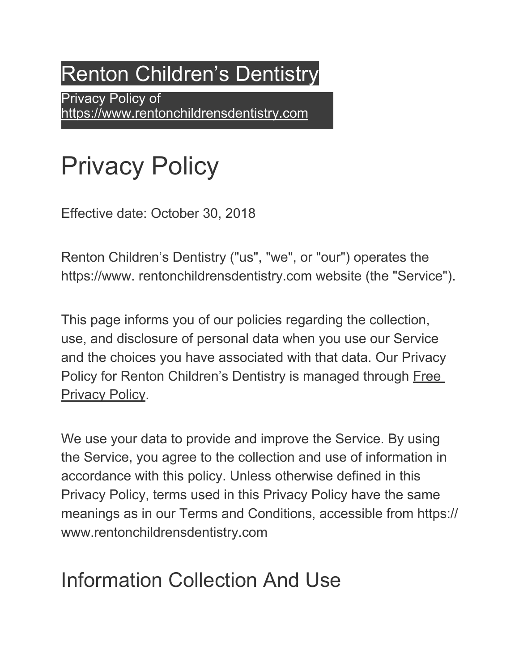# Renton Children's Dentistry

Privacy Policy of https://www.rentonchildrensdentistry.com

# Privacy Policy

Effective date: October 30, 2018

Renton Children's Dentistry ("us", "we", or "our") operates the https://www. rentonchildrensdentistry.com website (the "Service").

This page informs you of our policies regarding the collection, use, and disclosure of personal data when you use our Service and the choices you have associated with that data. Our Privacy Policy for Renton Children's Dentistry is managed through Free Privacy Policy.

We use your data to provide and improve the Service. By using the Service, you agree to the collection and use of information in accordance with this policy. Unless otherwise defined in this Privacy Policy, terms used in this Privacy Policy have the same meanings as in our Terms and Conditions, accessible from https:// www.rentonchildrensdentistry.com

### Information Collection And Use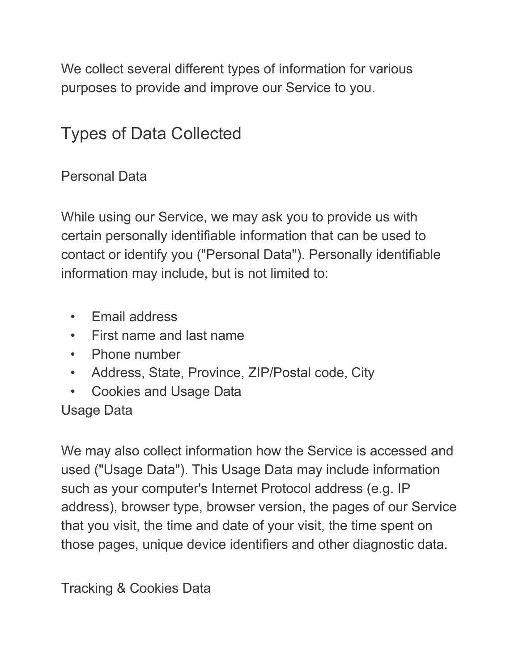We collect several different types of information for various purposes to provide and improve our Service to you.

#### Types of Data Collected

#### Personal Data

While using our Service, we may ask you to provide us with certain personally identifiable information that can be used to contact or identify you ("Personal Data"). Personally identifiable information may include, but is not limited to:

- Email address
- First name and last name
- Phone number
- Address, State, Province, ZIP/Postal code, City
- Cookies and Usage Data

#### Usage Data

We may also collect information how the Service is accessed and used ("Usage Data"). This Usage Data may include information such as your computer's Internet Protocol address (e.g. IP address), browser type, browser version, the pages of our Service that you visit, the time and date of your visit, the time spent on those pages, unique device identifiers and other diagnostic data.

#### Tracking & Cookies Data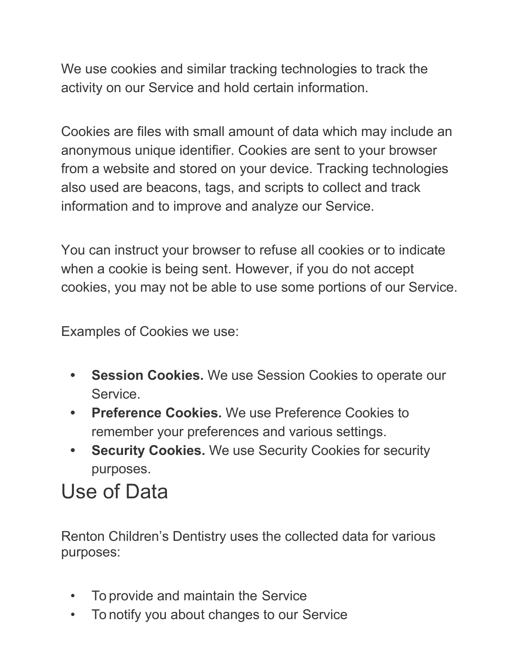We use cookies and similar tracking technologies to track the activity on our Service and hold certain information.

Cookies are files with small amount of data which may include an anonymous unique identifier. Cookies are sent to your browser from a website and stored on your device. Tracking technologies also used are beacons, tags, and scripts to collect and track information and to improve and analyze our Service.

You can instruct your browser to refuse all cookies or to indicate when a cookie is being sent. However, if you do not accept cookies, you may not be able to use some portions of our Service.

Examples of Cookies we use:

- **• Session Cookies.** We use Session Cookies to operate our Service.
- **• Preference Cookies.** We use Preference Cookies to remember your preferences and various settings.
- **• Security Cookies.** We use Security Cookies for security purposes.

#### Use of Data

Renton Children's Dentistry uses the collected data for various purposes:

- To provide and maintain the Service
- To notify you about changes to our Service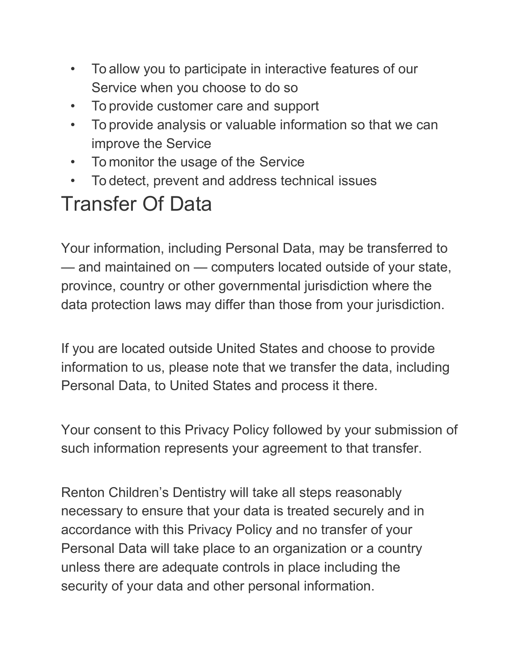- To allow you to participate in interactive features of our Service when you choose to do so
- To provide customer care and support
- To provide analysis or valuable information so that we can improve the Service
- To monitor the usage of the Service
- To detect, prevent and address technical issues

### Transfer Of Data

Your information, including Personal Data, may be transferred to — and maintained on — computers located outside of your state, province, country or other governmental jurisdiction where the data protection laws may differ than those from your jurisdiction.

If you are located outside United States and choose to provide information to us, please note that we transfer the data, including Personal Data, to United States and process it there.

Your consent to this Privacy Policy followed by your submission of such information represents your agreement to that transfer.

Renton Children's Dentistry will take all steps reasonably necessary to ensure that your data is treated securely and in accordance with this Privacy Policy and no transfer of your Personal Data will take place to an organization or a country unless there are adequate controls in place including the security of your data and other personal information.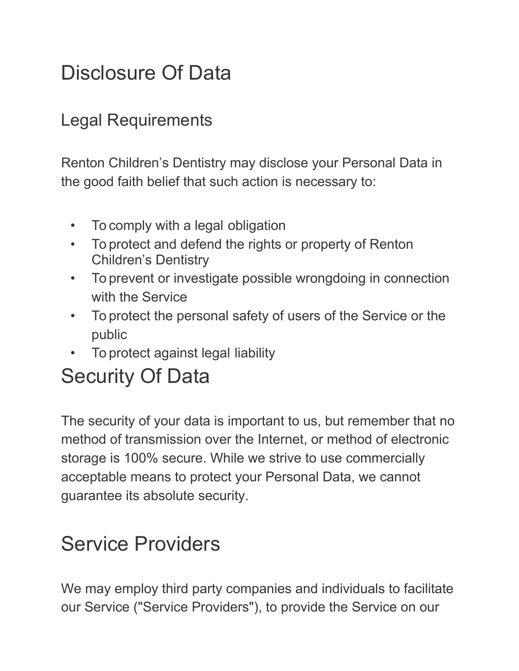#### Disclosure Of Data

#### Legal Requirements

Renton Children's Dentistry may disclose your Personal Data in the good faith belief that such action is necessary to:

- To comply with a legal obligation
- To protect and defend the rights or property of Renton Children's Dentistry
- To prevent or investigate possible wrongdoing in connection with the Service
- To protect the personal safety of users of the Service or the public
- To protect against legal liability

## Security Of Data

The security of your data is important to us, but remember that no method of transmission over the Internet, or method of electronic storage is 100% secure. While we strive to use commercially acceptable means to protect your Personal Data, we cannot guarantee its absolute security.

#### Service Providers

We may employ third party companies and individuals to facilitate our Service ("Service Providers"), to provide the Service on our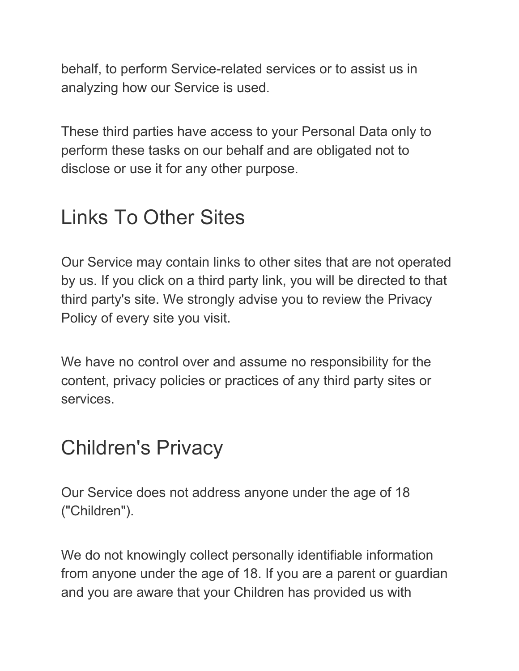behalf, to perform Service-related services or to assist us in analyzing how our Service is used.

These third parties have access to your Personal Data only to perform these tasks on our behalf and are obligated not to disclose or use it for any other purpose.

#### Links To Other Sites

Our Service may contain links to other sites that are not operated by us. If you click on a third party link, you will be directed to that third party's site. We strongly advise you to review the Privacy Policy of every site you visit.

We have no control over and assume no responsibility for the content, privacy policies or practices of any third party sites or services.

#### Children's Privacy

Our Service does not address anyone under the age of 18 ("Children").

We do not knowingly collect personally identifiable information from anyone under the age of 18. If you are a parent or guardian and you are aware that your Children has provided us with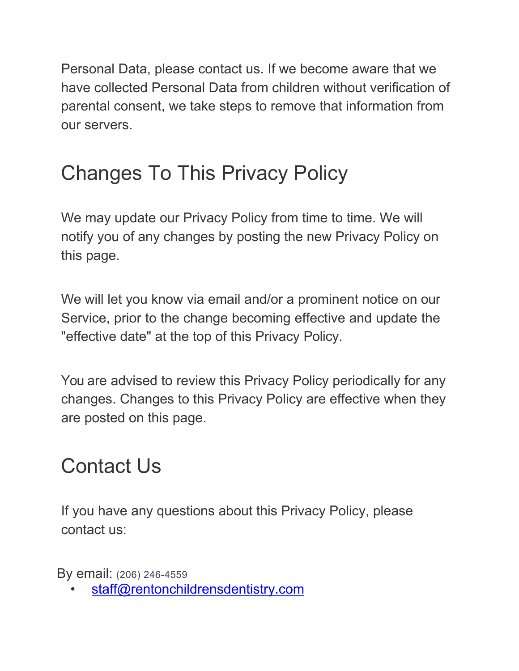Personal Data, please contact us. If we become aware that we have collected Personal Data from children without verification of parental consent, we take steps to remove that information from our servers.

### Changes To This Privacy Policy

We may update our Privacy Policy from time to time. We will notify you of any changes by posting the new Privacy Policy on this page.

We will let you know via email and/or a prominent notice on our Service, prior to the change becoming effective and update the "effective date" at the top of this Privacy Policy.

You are advised to review this Privacy Policy periodically for any changes. Changes to this Privacy Policy are effective when they are posted on this page.

#### Contact Us

If you have any questions about this Privacy Policy, please contact us:

By email: (206) 246-4559

staff@rentonchildrensdentistry.com